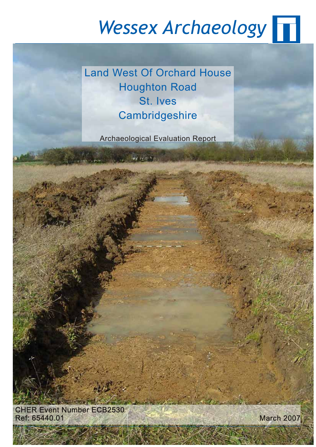# *Wessex Archaeology*

Land West Of Orchard House Houghton Road St. Ives **Cambridgeshire** 

Archaeological Evaluation Report

ad as a ha

Ref: 65440.01 March 2007 CHER Event Number ECB2530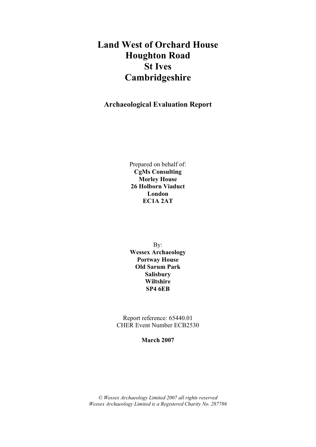# **Land West of Orchard House Houghton Road St Ives Cambridgeshire**

**Archaeological Evaluation Report** 

Prepared on behalf of: **CgMs Consulting Morley House 26 Holborn Viaduct London EC1A 2AT** 

By: **Wessex Archaeology Portway House Old Sarum Park Salisbury Wiltshire SP4 6EB** 

Report reference: 65440.01 CHER Event Number ECB2530

#### **March 2007**

*© Wessex Archaeology Limited 2007 all rights reserved Wessex Archaeology Limited is a Registered Charity No. 287786*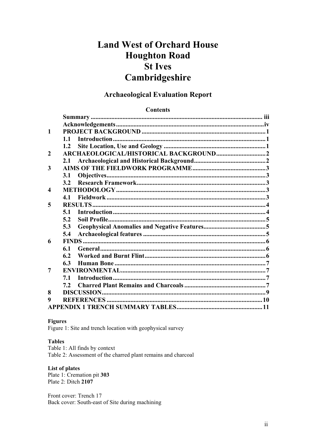# **Land West of Orchard House Houghton Road St Ives** Cambridgeshire

# **Archaeological Evaluation Report**

#### **Contents**

| $\mathbf{1}$           |     |  |
|------------------------|-----|--|
|                        | 1.1 |  |
|                        | 1.2 |  |
| $\overline{2}$         |     |  |
|                        | 2.1 |  |
| 3                      |     |  |
|                        | 3.1 |  |
|                        | 3.2 |  |
| $\boldsymbol{\Lambda}$ |     |  |
|                        | 4.1 |  |
| 5                      |     |  |
|                        | 5.1 |  |
|                        | 5.2 |  |
|                        | 5.3 |  |
|                        | 5.4 |  |
| 6                      |     |  |
|                        | 6.1 |  |
|                        | 6.2 |  |
|                        | 6.3 |  |
| 7                      |     |  |
|                        | 7.1 |  |
|                        | 7.2 |  |
| 8                      |     |  |
| 9                      |     |  |
|                        |     |  |
|                        |     |  |

#### **Figures**

Figure 1: Site and trench location with geophysical survey

#### **Tables**

Table 1: All finds by context Table 2: Assessment of the charred plant remains and charcoal

#### **List of plates**

Plate 1: Cremation pit 303 Plate 2: Ditch 2107

Front cover: Trench 17 Back cover: South-east of Site during machining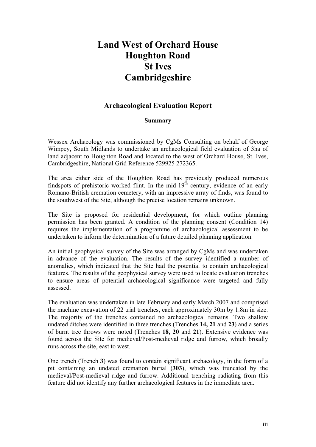# **Land West of Orchard House Houghton Road St Ives Cambridgeshire**

# **Archaeological Evaluation Report**

# **Summary**

Wessex Archaeology was commissioned by CgMs Consulting on behalf of George Wimpey, South Midlands to undertake an archaeological field evaluation of 3ha of land adjacent to Houghton Road and located to the west of Orchard House, St. Ives, Cambridgeshire, National Grid Reference 529925 272365.

The area either side of the Houghton Road has previously produced numerous findspots of prehistoric worked flint. In the mid-19<sup>th</sup> century, evidence of an early Romano-British cremation cemetery, with an impressive array of finds, was found to the southwest of the Site, although the precise location remains unknown.

The Site is proposed for residential development, for which outline planning permission has been granted. A condition of the planning consent (Condition 14) requires the implementation of a programme of archaeological assessment to be undertaken to inform the determination of a future detailed planning application.

An initial geophysical survey of the Site was arranged by CgMs and was undertaken in advance of the evaluation. The results of the survey identified a number of anomalies, which indicated that the Site had the potential to contain archaeological features. The results of the geophysical survey were used to locate evaluation trenches to ensure areas of potential archaeological significance were targeted and fully assessed.

The evaluation was undertaken in late February and early March 2007 and comprised the machine excavation of 22 trial trenches, each approximately 30m by 1.8m in size. The majority of the trenches contained no archaeological remains. Two shallow undated ditches were identified in three trenches (Trenches **14, 21** and **23**) and a series of burnt tree throws were noted (Trenches **18, 20** and **21**). Extensive evidence was found across the Site for medieval/Post-medieval ridge and furrow, which broadly runs across the site, east to west.

One trench (Trench **3**) was found to contain significant archaeology, in the form of a pit containing an undated cremation burial (**303**), which was truncated by the medieval/Post-medieval ridge and furrow. Additional trenching radiating from this feature did not identify any further archaeological features in the immediate area.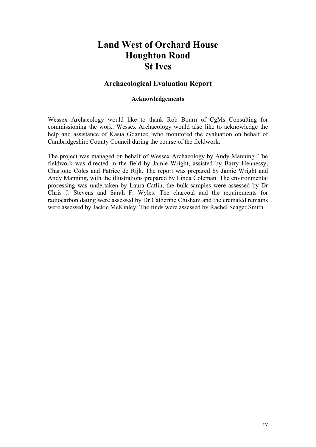# **Land West of Orchard House Houghton Road St Ives**

# **Archaeological Evaluation Report**

#### **Acknowledgements**

Wessex Archaeology would like to thank Rob Bourn of CgMs Consulting for commissioning the work. Wessex Archaeology would also like to acknowledge the help and assistance of Kasia Gdaniec, who monitored the evaluation on behalf of Cambridgeshire County Council during the course of the fieldwork.

The project was managed on behalf of Wessex Archaeology by Andy Manning. The fieldwork was directed in the field by Jamie Wright, assisted by Barry Hennessy, Charlotte Coles and Patrice de Rijk. The report was prepared by Jamie Wright and Andy Manning, with the illustrations prepared by Linda Coleman. The environmental processing was undertaken by Laura Catlin, the bulk samples were assessed by Dr Chris J. Stevens and Sarah F. Wyles. The charcoal and the requirements for radiocarbon dating were assessed by Dr Catherine Chisham and the cremated remains were assessed by Jackie McKinley. The finds were assessed by Rachel Seager Smith.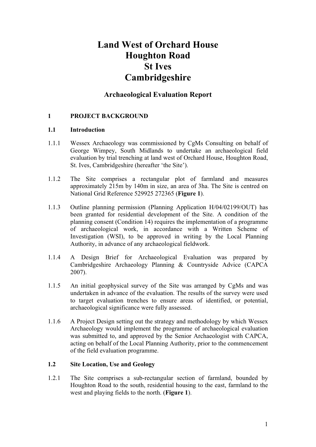# **Land West of Orchard House Houghton Road St Ives Cambridgeshire**

# **Archaeological Evaluation Report**

# **1 PROJECT BACKGROUND**

#### **1.1 Introduction**

- 1.1.1 Wessex Archaeology was commissioned by CgMs Consulting on behalf of George Wimpey, South Midlands to undertake an archaeological field evaluation by trial trenching at land west of Orchard House, Houghton Road, St. Ives, Cambridgeshire (hereafter 'the Site').
- 1.1.2 The Site comprises a rectangular plot of farmland and measures approximately 215m by 140m in size, an area of 3ha. The Site is centred on National Grid Reference 529925 272365 (**Figure 1**).
- 1.1.3 Outline planning permission (Planning Application H/04/02199/OUT) has been granted for residential development of the Site. A condition of the planning consent (Condition 14) requires the implementation of a programme of archaeological work, in accordance with a Written Scheme of Investigation (WSI), to be approved in writing by the Local Planning Authority, in advance of any archaeological fieldwork.
- 1.1.4 A Design Brief for Archaeological Evaluation was prepared by Cambridgeshire Archaeology Planning & Countryside Advice (CAPCA 2007).
- 1.1.5 An initial geophysical survey of the Site was arranged by CgMs and was undertaken in advance of the evaluation. The results of the survey were used to target evaluation trenches to ensure areas of identified, or potential, archaeological significance were fully assessed.
- 1.1.6 A Project Design setting out the strategy and methodology by which Wessex Archaeology would implement the programme of archaeological evaluation was submitted to, and approved by the Senior Archaeologist with CAPCA, acting on behalf of the Local Planning Authority, prior to the commencement of the field evaluation programme.

# **1.2 Site Location, Use and Geology**

1.2.1 The Site comprises a sub-rectangular section of farmland, bounded by Houghton Road to the south, residential housing to the east, farmland to the west and playing fields to the north. (**Figure 1**).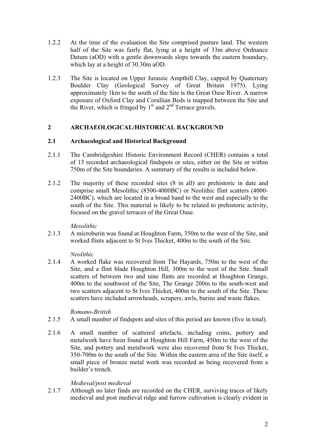- 1.2.2 At the time of the evaluation the Site comprised pasture land. The western half of the Site was fairly flat, lying at a height of 33m above Ordnance Datum (aOD) with a gentle downwards slope towards the eastern boundary, which lay at a height of 30.30m aOD.
- 1.2.3 The Site is located on Upper Jurassic Ampthill Clay, capped by Quaternary Boulder Clay (Geological Survey of Great Britain 1975). Lying approximately 1km to the south of the Site is the Great Ouse River. A narrow exposure of Oxford Clay and Corallian Beds is mapped between the Site and the River, which is fringed by  $1<sup>st</sup>$  and  $2<sup>nd</sup>$  Terrace gravels.

# **2 ARCHAEOLOGICAL/HISTORICAL BACKGROUND**

#### **2.1 Archaeological and Historical Background**

- 2.1.1 The Cambridgeshire Historic Environment Record (CHER) contains a total of 13 recorded archaeological findspots or sites, either on the Site or within 750m of the Site boundaries. A summary of the results is included below.
- 2.1.2 The majority of these recorded sites (8 in all) are prehistoric in date and comprise small Mesolithic (8500-4000BC) or Neolithic flint scatters (4000- 2400BC), which are located in a broad band to the west and especially to the south of the Site. This material is likely to be related to prehistoric activity, focused on the gravel terraces of the Great Ouse.

*Mesolithic* 

2.1.3 A microburin was found at Houghton Farm, 350m to the west of the Site, and worked flints adjacent to St Ives Thicket, 400m to the south of the Site.

# *Neolithic*

2.1.4 A worked flake was recovered from The Hayards, 750m to the west of the Site, and a flint blade Houghton Hill, 300m to the west of the Site. Small scatters of between two and nine flints are recorded at Houghton Grange, 400m to the southwest of the Site, The Grange 200m to the south-west and two scatters adjacent to St Ives Thicket, 400m to the south of the Site. These scatters have included arrowheads, scrapers, awls, burins and waste flakes.

#### *Romano-British*

- 2.1.5 A small number of findspots and sites of this period are known (five in total).
- 2.1.6 A small number of scattered artefacts, including coins, pottery and metalwork have been found at Houghton Hill Farm, 450m to the west of the Site, and pottery and metalwork were also recovered from St Ives Thicket, 350-700m to the south of the Site. Within the eastern area of the Site itself, a small piece of bronze metal work was recorded as being recovered from a builder's trench.

# *Medieval/post medieval*

2.1.7 Although no later finds are recorded on the CHER, surviving traces of likely medieval and post medieval ridge and furrow cultivation is clearly evident in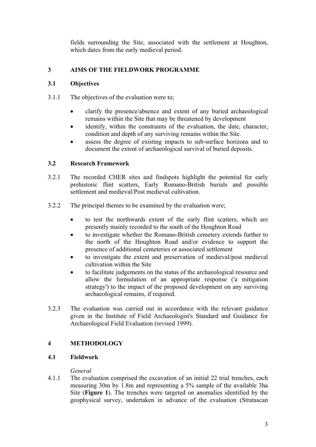fields surrounding the Site, associated with the settlement at Houghton, which dates from the early medieval period.

# **3 AIMS OF THE FIELDWORK PROGRAMME**

# **3.1 Objectives**

- 3.1.1 The objectives of the evaluation were to;
	- clarify the presence/absence and extent of any buried archaeological remains within the Site that may be threatened by development
	- identify, within the constraints of the evaluation, the date, character, condition and depth of any surviving remains within the Site.
	- x assess the degree of existing impacts to sub-surface horizons and to document the extent of archaeological survival of buried deposits.

# **3.2 Research Framework**

- 3.2.1 The recorded CHER sites and findspots highlight the potential for early prehistoric flint scatters, Early Romano-British burials and possible settlement and medieval/Post medieval cultivation.
- 3.2.2 The principal themes to be examined by the evaluation were;
	- to test the northwards extent of the early flint scatters, which are presently mainly recorded to the south of the Houghton Road
	- to investigate whether the Romano-British cemetery extends further to the north of the Houghton Road and/or evidence to support the presence of additional cemeteries or associated settlement
	- to investigate the extent and preservation of medieval/post medieval cultivation within the Site
	- to facilitate judgements on the status of the archaeological resource and allow the formulation of an appropriate response ('a mitigation strategy') to the impact of the proposed development on any surviving archaeological remains, if required.
- 3.2.3 The evaluation was carried out in accordance with the relevant guidance given in the Institute of Field Archaeologist's Standard and Guidance for Archaeological Field Evaluation (revised 1999).

# **4 METHODOLOGY**

# **4.1 Fieldwork**

# *General*

4.1.1 The evaluation comprised the excavation of an initial 22 trial trenches, each measuring 30m by 1.8m and representing a 5% sample of the available 3ha Site (**Figure 1**). The trenches were targeted on anomalies identified by the geophysical survey, undertaken in advance of the evaluation (Stratascan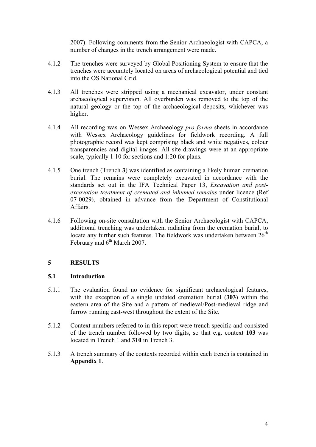2007). Following comments from the Senior Archaeologist with CAPCA, a number of changes in the trench arrangement were made.

- 4.1.2 The trenches were surveyed by Global Positioning System to ensure that the trenches were accurately located on areas of archaeological potential and tied into the OS National Grid.
- 4.1.3 All trenches were stripped using a mechanical excavator, under constant archaeological supervision. All overburden was removed to the top of the natural geology or the top of the archaeological deposits, whichever was higher.
- 4.1.4 All recording was on Wessex Archaeology *pro forma* sheets in accordance with Wessex Archaeology guidelines for fieldwork recording. A full photographic record was kept comprising black and white negatives, colour transparencies and digital images. All site drawings were at an appropriate scale, typically 1:10 for sections and 1:20 for plans.
- 4.1.5 One trench (Trench **3**) was identified as containing a likely human cremation burial. The remains were completely excavated in accordance with the standards set out in the IFA Technical Paper 13, *Excavation and postexcavation treatment of cremated and inhumed remains* under licence (Ref 07-0029), obtained in advance from the Department of Constitutional Affairs.
- 4.1.6 Following on-site consultation with the Senior Archaeologist with CAPCA, additional trenching was undertaken, radiating from the cremation burial, to locate any further such features. The fieldwork was undertaken between  $26<sup>th</sup>$ February and  $6<sup>th</sup>$  March 2007.

# **5 RESULTS**

# **5.1 Introduction**

- 5.1.1 The evaluation found no evidence for significant archaeological features, with the exception of a single undated cremation burial (**303**) within the eastern area of the Site and a pattern of medieval/Post-medieval ridge and furrow running east-west throughout the extent of the Site.
- 5.1.2 Context numbers referred to in this report were trench specific and consisted of the trench number followed by two digits, so that e.g. context **103** was located in Trench 1 and **310** in Trench 3.
- 5.1.3 A trench summary of the contexts recorded within each trench is contained in **Appendix 1**.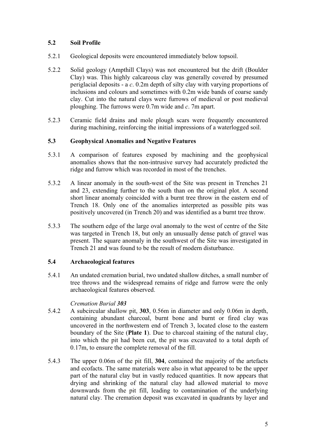# **5.2 Soil Profile**

- 5.2.1 Geological deposits were encountered immediately below topsoil.
- 5.2.2 Solid geology (Ampthill Clays) was not encountered but the drift (Boulder Clay) was. This highly calcareous clay was generally covered by presumed periglacial deposits - a *c*. 0.2m depth of silty clay with varying proportions of inclusions and colours and sometimes with 0.2m wide bands of coarse sandy clay. Cut into the natural clays were furrows of medieval or post medieval ploughing. The furrows were 0.7m wide and *c*. 7m apart.
- 5.2.3 Ceramic field drains and mole plough scars were frequently encountered during machining, reinforcing the initial impressions of a waterlogged soil.

#### **5.3 Geophysical Anomalies and Negative Features**

- 5.3.1 A comparison of features exposed by machining and the geophysical anomalies shows that the non-intrusive survey had accurately predicted the ridge and furrow which was recorded in most of the trenches.
- 5.3.2 A linear anomaly in the south-west of the Site was present in Trenches 21 and 23, extending further to the south than on the original plot. A second short linear anomaly coincided with a burnt tree throw in the eastern end of Trench 18. Only one of the anomalies interpreted as possible pits was positively uncovered (in Trench 20) and was identified as a burnt tree throw.
- 5.3.3 The southern edge of the large oval anomaly to the west of centre of the Site was targeted in Trench 18, but only an unusually dense patch of gravel was present. The square anomaly in the southwest of the Site was investigated in Trench 21 and was found to be the result of modern disturbance.

# **5.4 Archaeological features**

5.4.1 An undated cremation burial, two undated shallow ditches, a small number of tree throws and the widespread remains of ridge and furrow were the only archaeological features observed.

#### *Cremation Burial 303*

- 5.4.2 A subcircular shallow pit, **303**, 0.56m in diameter and only 0.06m in depth, containing abundant charcoal, burnt bone and burnt or fired clay was uncovered in the northwestern end of Trench 3, located close to the eastern boundary of the Site (**Plate 1**). Due to charcoal staining of the natural clay, into which the pit had been cut, the pit was excavated to a total depth of 0.17m, to ensure the complete removal of the fill.
- 5.4.3 The upper 0.06m of the pit fill, **304**, contained the majority of the artefacts and ecofacts. The same materials were also in what appeared to be the upper part of the natural clay but in vastly reduced quantities. It now appears that drying and shrinking of the natural clay had allowed material to move downwards from the pit fill, leading to contamination of the underlying natural clay. The cremation deposit was excavated in quadrants by layer and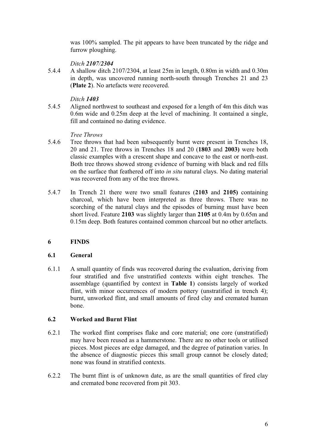was 100% sampled. The pit appears to have been truncated by the ridge and furrow ploughing.

# *Ditch 2107/2304*

5.4.4 A shallow ditch 2107/2304, at least 25m in length, 0.80m in width and 0.30m in depth, was uncovered running north-south through Trenches 21 and 23 (**Plate 2**). No artefacts were recovered.

# *Ditch 1403*

5.4.5 Aligned northwest to southeast and exposed for a length of 4m this ditch was 0.6m wide and 0.25m deep at the level of machining. It contained a single, fill and contained no dating evidence.

# *Tree Throws*

- 5.4.6 Tree throws that had been subsequently burnt were present in Trenches 18, 20 and 21. Tree throws in Trenches 18 and 20 (**1803** and **2003)** were both classic examples with a crescent shape and concave to the east or north-east. Both tree throws showed strong evidence of burning with black and red fills on the surface that feathered off into *in situ* natural clays. No dating material was recovered from any of the tree throws.
- 5.4.7 In Trench 21 there were two small features (**2103** and **2105)** containing charcoal, which have been interpreted as three throws. There was no scorching of the natural clays and the episodes of burning must have been short lived. Feature **2103** was slightly larger than **2105** at 0.4m by 0.65m and 0.15m deep. Both features contained common charcoal but no other artefacts.

# **6 FINDS**

# **6.1 General**

6.1.1 A small quantity of finds was recovered during the evaluation, deriving from four stratified and five unstratified contexts within eight trenches. The assemblage (quantified by context in **Table 1**) consists largely of worked flint, with minor occurrences of modern pottery (unstratified in trench 4); burnt, unworked flint, and small amounts of fired clay and cremated human bone.

# **6.2 Worked and Burnt Flint**

- 6.2.1 The worked flint comprises flake and core material; one core (unstratified) may have been reused as a hammerstone. There are no other tools or utilised pieces. Most pieces are edge damaged, and the degree of patination varies. In the absence of diagnostic pieces this small group cannot be closely dated; none was found in stratified contexts.
- 6.2.2 The burnt flint is of unknown date, as are the small quantities of fired clay and cremated bone recovered from pit 303.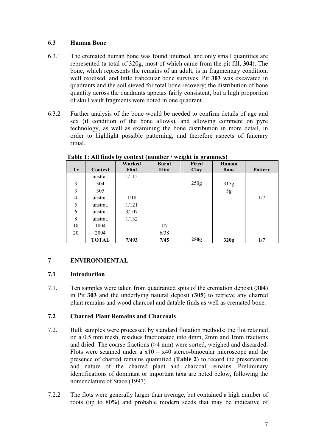# **6.3 Human Bone**

- 6.3.1 The cremated human bone was found unurned, and only small quantities are represented (a total of 320g, most of which came from the pit fill, **304**). The bone, which represents the remains of an adult, is in fragmentary condition, well oxidised, and little trabecular bone survives. Pit **303** was excavated in quadrants and the soil sieved for total bone recovery; the distribution of bone quantity across the quadrants appears fairly consistent, but a high proportion of skull vault fragments were noted in one quadrant.
- 6.3.2 Further analysis of the bone would be needed to confirm details of age and sex (if condition of the bone allows), and allowing comment on pyre technology, as well as examining the bone distribution in more detail, in order to highlight possible patterning, and therefore aspects of funerary ritual.

|           |              | ັ<br>Worked | <b>Burnt</b> | o<br>$\bullet$<br>Fired | Human       |                |
|-----------|--------------|-------------|--------------|-------------------------|-------------|----------------|
| <b>Tr</b> | Context      | Flint       | <b>Flint</b> | Clay                    | <b>Bone</b> | <b>Pottery</b> |
|           | unstrat.     | 1/115       |              |                         |             |                |
| 3         | 304          |             |              | 250g                    | 315g        |                |
| 3         | 305          |             |              |                         | 5g          |                |
| 4         | unstrat.     | 1/18        |              |                         |             | 1/7            |
| 5         | unstrat.     | 1/121       |              |                         |             |                |
| 6         | unstrat.     | 3/107       |              |                         |             |                |
| 8         | unstrat.     | 1/132       |              |                         |             |                |
| 18        | 1804         |             | 1/7          |                         |             |                |
| 20        | 2004         |             | 6/38         |                         |             |                |
|           | <b>TOTAL</b> | 7/493       | 7/45         | 250g                    | 320g        | 1/7            |

**Table 1: All finds by context (number / weight in grammes)** 

# **7 ENVIRONMENTAL**

# **7.1 Introduction**

7.1.1 Ten samples were taken from quadranted spits of the cremation deposit (**304**) in Pit **303** and the underlying natural deposit (**305**) to retrieve any charred plant remains and wood charcoal and datable finds as well as cremated bone.

# **7.2 Charred Plant Remains and Charcoals**

- 7.2.1 Bulk samples were processed by standard flotation methods; the flot retained on a 0.5 mm mesh, residues fractionated into 4mm, 2mm and 1mm fractions and dried. The coarse fractions (>4 mm) were sorted, weighed and discarded. Flots were scanned under a  $x10 - x40$  stereo-binocular microscope and the presence of charred remains quantified (**Table 2**) to record the preservation and nature of the charred plant and charcoal remains. Preliminary identifications of dominant or important taxa are noted below, following the nomenclature of Stace (1997).
- 7.2.2 The flots were generally larger than average, but contained a high number of roots (up to 80%) and probable modern seeds that may be indicative of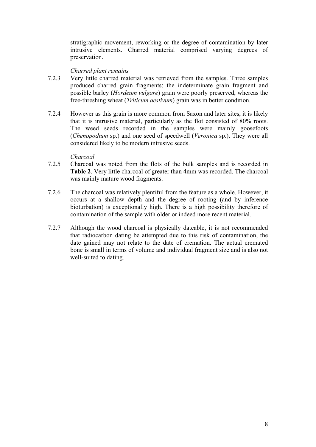stratigraphic movement, reworking or the degree of contamination by later intrusive elements. Charred material comprised varying degrees of preservation.

#### *Charred plant remains*

- 7.2.3 Very little charred material was retrieved from the samples. Three samples produced charred grain fragments; the indeterminate grain fragment and possible barley (*Hordeum vulgare*) grain were poorly preserved, whereas the free-threshing wheat (*Triticum aestivum*) grain was in better condition.
- 7.2.4 However as this grain is more common from Saxon and later sites, it is likely that it is intrusive material, particularly as the flot consisted of 80% roots. The weed seeds recorded in the samples were mainly goosefoots (*Chenopodium* sp.) and one seed of speedwell (*Veronica* sp.). They were all considered likely to be modern intrusive seeds.

#### *Charcoal*

- 7.2.5 Charcoal was noted from the flots of the bulk samples and is recorded in **Table 2**. Very little charcoal of greater than 4mm was recorded. The charcoal was mainly mature wood fragments.
- 7.2.6 The charcoal was relatively plentiful from the feature as a whole. However, it occurs at a shallow depth and the degree of rooting (and by inference bioturbation) is exceptionally high. There is a high possibility therefore of contamination of the sample with older or indeed more recent material.
- 7.2.7 Although the wood charcoal is physically dateable, it is not recommended that radiocarbon dating be attempted due to this risk of contamination, the date gained may not relate to the date of cremation. The actual cremated bone is small in terms of volume and individual fragment size and is also not well-suited to dating.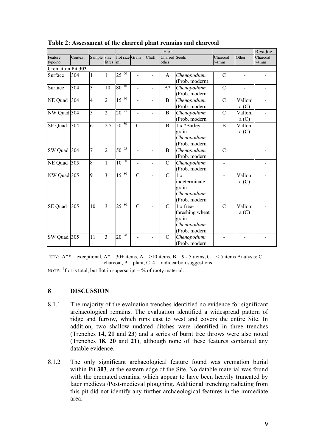|                   |         |                |                         |                       |                          |                          | Flot                 |                 |                |                              | Residue  |
|-------------------|---------|----------------|-------------------------|-----------------------|--------------------------|--------------------------|----------------------|-----------------|----------------|------------------------------|----------|
| Feature           | Context | Sample size    |                         | flot size Grain       |                          | Chaff                    | <b>Charred Seeds</b> |                 | Charcoal       | Other                        | Charcoal |
| type/no           |         |                | litres  ml              |                       |                          |                          | other                |                 | $>4$ mm        |                              | $>4$ mm  |
| Cremation Pit 303 |         |                |                         |                       |                          |                          |                      |                 |                |                              |          |
| Surface           | 304     | $\mathbf{1}$   | 1                       | $25^{60}$             |                          | -                        | A                    | Chenopodium     | $\mathcal{C}$  | $\qquad \qquad \blacksquare$ |          |
|                   |         |                |                         |                       |                          |                          |                      | (Prob. modern)  |                |                              |          |
| Surface           | 304     | $\overline{3}$ | 10                      | 40<br>$\overline{80}$ | $\overline{a}$           | $\overline{a}$           | $A^*$                | Chenopodium     | $\overline{C}$ |                              |          |
|                   |         |                |                         |                       |                          |                          |                      | (Prob. modern   |                |                              |          |
| NE Quad           | 304     | $\overline{4}$ | $\overline{2}$          | $15^{70}$             |                          | $\overline{\phantom{0}}$ | B                    | Chenopodium     | $\overline{C}$ | Valloni                      |          |
|                   |         |                |                         |                       |                          |                          |                      | (Prob. modern   |                | a(C)                         |          |
| NW Quad 304       |         | 5              | $\overline{c}$          | $20^{75}$             |                          | $\blacksquare$           | B                    | Chenopodium     | $\mathcal{C}$  | Valloni                      |          |
|                   |         |                |                         |                       |                          |                          |                      | (Prob. modern   |                | a(C)                         |          |
| <b>SE</b> Quad    | 304     | 6              | 2.5                     | 50<br>50              | $\mathcal{C}$            |                          | B                    | 1 x ?Barley     | B              | Valloni                      |          |
|                   |         |                |                         |                       |                          |                          |                      | grain           |                | a(C)                         |          |
|                   |         |                |                         |                       |                          |                          |                      | Chenopodium     |                |                              |          |
|                   |         |                |                         |                       |                          |                          |                      | (Prob. modern   |                |                              |          |
| SW Quad 304       |         | $\overline{7}$ | $\overline{2}$          | 65<br>$\overline{50}$ | $\overline{\phantom{a}}$ | $\blacksquare$           | B                    | Chenopodium     | $\mathcal{C}$  |                              |          |
|                   |         |                |                         |                       |                          |                          |                      | (Prob. modern   |                |                              |          |
| NE Quad           | 305     | 8              | $\mathbf{1}$            | $10^{-80}$            | ÷.                       | $\overline{a}$           | $\mathcal{C}$        | Chenopodium     | ÷.             |                              |          |
|                   |         |                |                         |                       |                          |                          |                      | (Prob. modern   |                |                              |          |
| NW Quad $305$     |         | 9              | $\overline{3}$          | $15^{80}$             | $\overline{C}$           |                          | $\mathcal{C}$        | 1 x             |                | Valloni                      |          |
|                   |         |                |                         |                       |                          |                          |                      | indeterminate   |                | a(C)                         |          |
|                   |         |                |                         |                       |                          |                          |                      | grain           |                |                              |          |
|                   |         |                |                         |                       |                          |                          |                      | Chenopodium     |                |                              |          |
|                   |         |                |                         |                       |                          |                          |                      | (Prob. modern   |                |                              |          |
| SE Quad           | 305     | 10             | 3                       | $25^{80}$             | $\mathcal{C}$            |                          | $\mathcal{C}$        | 1 x free-       | $\mathcal{C}$  | Valloni                      |          |
|                   |         |                |                         |                       |                          |                          |                      | threshing wheat |                | a(C)                         |          |
|                   |         |                |                         |                       |                          |                          |                      | grain           |                |                              |          |
|                   |         |                |                         |                       |                          |                          |                      | Chenopodium     |                |                              |          |
|                   |         |                |                         |                       |                          |                          |                      | (Prob. modern   |                |                              |          |
| SW Quad 305       |         | 11             | $\overline{\mathbf{3}}$ | 80<br>20              |                          |                          | $\mathcal{C}$        | Chenopodium     |                |                              |          |
|                   |         |                |                         |                       |                          |                          |                      | (Prob. modern   |                |                              |          |

**Table 2: Assessment of the charred plant remains and charcoal** 

KEY:  $A^{**}$  = exceptional,  $A^*$  = 30+ items,  $A = \ge 10$  items,  $B = 9$  - 5 items,  $C = \le 5$  items Analysis:  $C = \le 5$ charcoal,  $P =$  plant,  $C14 =$  radiocarbon suggestions

NOTE: <sup>1</sup> flot is total, but flot in superscript =  $\%$  of rooty material.

#### **8 DISCUSSION**

- 8.1.1 The majority of the evaluation trenches identified no evidence for significant archaeological remains. The evaluation identified a widespread pattern of ridge and furrow, which runs east to west and covers the entire Site. In addition, two shallow undated ditches were identified in three trenches (Trenches **14, 21** and **23**) and a series of burnt tree throws were also noted (Trenches **18, 20** and **21**), although none of these features contained any datable evidence.
- 8.1.2 The only significant archaeological feature found was cremation burial within Pit **303**, at the eastern edge of the Site. No datable material was found with the cremated remains, which appear to have been heavily truncated by later medieval/Post-medieval ploughing. Additional trenching radiating from this pit did not identify any further archaeological features in the immediate area.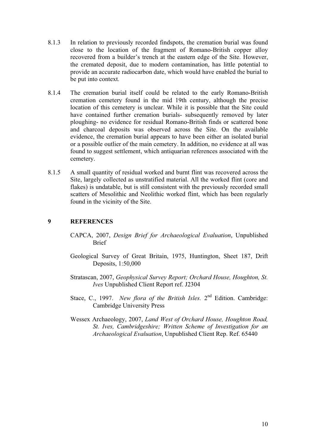- 8.1.3 In relation to previously recorded findspots, the cremation burial was found close to the location of the fragment of Romano-British copper alloy recovered from a builder's trench at the eastern edge of the Site. However, the cremated deposit, due to modern contamination, has little potential to provide an accurate radiocarbon date, which would have enabled the burial to be put into context.
- 8.1.4 The cremation burial itself could be related to the early Romano-British cremation cemetery found in the mid 19th century, although the precise location of this cemetery is unclear. While it is possible that the Site could have contained further cremation burials- subsequently removed by later ploughing- no evidence for residual Romano-British finds or scattered bone and charcoal deposits was observed across the Site. On the available evidence, the cremation burial appears to have been either an isolated burial or a possible outlier of the main cemetery. In addition, no evidence at all was found to suggest settlement, which antiquarian references associated with the cemetery.
- 8.1.5 A small quantity of residual worked and burnt flint was recovered across the Site, largely collected as unstratified material. All the worked flint (core and flakes) is undatable, but is still consistent with the previously recorded small scatters of Mesolithic and Neolithic worked flint, which has been regularly found in the vicinity of the Site.

#### **9 REFERENCES**

- CAPCA, 2007, *Design Brief for Archaeological Evaluation*, Unpublished Brief
- Geological Survey of Great Britain, 1975, Huntington, Sheet 187, Drift Deposits, 1:50,000
- Stratascan, 2007, *Geophysical Survey Report; Orchard House, Houghton, St. Ives* Unpublished Client Report ref. J2304
- Stace, C., 1997. *New flora of the British Isles.* 2<sup>nd</sup> Edition. Cambridge: Cambridge University Press
- Wessex Archaeology, 2007, *Land West of Orchard House, Houghton Road, St. Ives, Cambridgeshire; Written Scheme of Investigation for an Archaeological Evaluation*, Unpublished Client Rep. Ref. 65440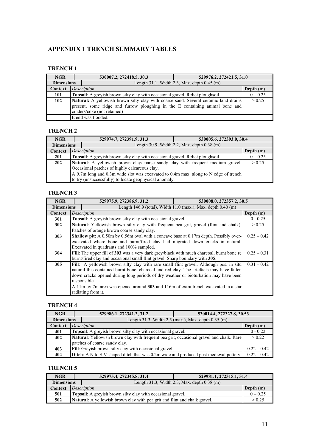# **APPENDIX 1 TRENCH SUMMARY TABLES**

# **TRENCH 1**

| <b>NGR</b>        |                                                                                              | 530007.2, 272418.5, 30.3<br>529976.2, 272421.5, 31.0 |                                                |  |  |  |
|-------------------|----------------------------------------------------------------------------------------------|------------------------------------------------------|------------------------------------------------|--|--|--|
| <b>Dimensions</b> |                                                                                              |                                                      | Length $31.1$ , Width 2.3, Max. depth 0.45 (m) |  |  |  |
| Context           | Depth $(m)$<br>Description                                                                   |                                                      |                                                |  |  |  |
| 101               | Topsoil: A greyish brown silty clay with occasional gravel. Relict ploughsoil.<br>$0 - 0.25$ |                                                      |                                                |  |  |  |
| 102               | Natural: A yellowish brown silty clay with coarse sand. Several ceramic land drains          |                                                      |                                                |  |  |  |
|                   | present, some ridge and furrow ploughing in the E containing animal bone and                 |                                                      |                                                |  |  |  |
|                   |                                                                                              | cinders/coke (not retained)                          |                                                |  |  |  |
|                   |                                                                                              | E end was flooded.                                   |                                                |  |  |  |

#### **TRENCH 2**

| <b>NGR</b>        |                                                                                              | 529974.7, 272391.9, 31.3                               | 530005.6, 272393.0, 30.4                    |  |  |
|-------------------|----------------------------------------------------------------------------------------------|--------------------------------------------------------|---------------------------------------------|--|--|
| <b>Dimensions</b> |                                                                                              |                                                        | Length 30.9, Width 2.2, Max. depth 0.38 (m) |  |  |
| Context           | Depth $(m)$<br>Description                                                                   |                                                        |                                             |  |  |
| 201               | Topsoil: A greyish brown silty clay with occasional gravel. Relict ploughsoil.<br>$0 - 0.25$ |                                                        |                                             |  |  |
| 202               | Natural: A yellowish brown clay/coarse sandy clay with frequent medium gravel.<br>> 0.25     |                                                        |                                             |  |  |
|                   | Occasional patches of highly calcareous clay.                                                |                                                        |                                             |  |  |
|                   | A 9.7m long and 0.3m wide slot was excavated to 0.4m max. along to N edge of trench          |                                                        |                                             |  |  |
|                   |                                                                                              | to try (unsuccessfully) to locate geophysical anomaly. |                                             |  |  |

#### **TRENCH 3**

| <b>NGR</b>        |                                                                                                 | 529975.9, 272386.9, 31.2                                                                     | 530008.0, 272357.2, 30.5                                           |               |  |
|-------------------|-------------------------------------------------------------------------------------------------|----------------------------------------------------------------------------------------------|--------------------------------------------------------------------|---------------|--|
| <b>Dimensions</b> |                                                                                                 |                                                                                              | Length $146.9$ (total), Width $11.0$ (max.), Max. depth $0.40$ (m) |               |  |
| Context           |                                                                                                 | Description                                                                                  |                                                                    | Depth $(m)$   |  |
| 301               |                                                                                                 | <b>Topsoil:</b> A greyish brown silty clay with occasional gravel.                           |                                                                    | $0 - 0.25$    |  |
| 302               |                                                                                                 | <b>Natural:</b> Yellowish brown silty clay with frequent pea grit, gravel (flint and chalk). |                                                                    | > 0.25        |  |
|                   |                                                                                                 | Patches of orange brown coarse sandy clay.                                                   |                                                                    |               |  |
| 303               |                                                                                                 | <b>Shallow pit:</b> A 0.50m by 0.56m oval with a concave base at 0.17m depth. Possibly over- |                                                                    | $0.25 - 0.42$ |  |
|                   |                                                                                                 | excavated where bone and burnt/fired clay had migrated down cracks in natural.               |                                                                    |               |  |
|                   |                                                                                                 | Excavated in quadrants and 100% sampled.                                                     |                                                                    |               |  |
| 304               | <b>Fill:</b> The upper fill of 303 was a very dark grey/black with much charcoal, burnt bone re |                                                                                              |                                                                    |               |  |
|                   | burnt/fired clay and occasional small flint gravel. Sharp boundary with 305.                    |                                                                                              |                                                                    |               |  |
| 305               | Fill: A yellowish brown silty clay with rare small flint gravel. Although pos. in situ          |                                                                                              |                                                                    |               |  |
|                   | natural this contained burnt bone, charcoal and red clay. The artefacts may have fallen         |                                                                                              |                                                                    |               |  |
|                   | down cracks opened during long periods of dry weather or bioturbation may have been             |                                                                                              |                                                                    |               |  |
|                   | responsible.                                                                                    |                                                                                              |                                                                    |               |  |
|                   |                                                                                                 | A 11m by 7m area was opened around 303 and 116m of extra trench excavated in a star          |                                                                    |               |  |
|                   |                                                                                                 | radiating from it.                                                                           |                                                                    |               |  |

# **TRENCH 4**

| <b>NGR</b> | 529986.1, 272341.2, 31.2                                                                       |                                                                                              | 530014.4, 272327.8, 30.53 |               |  |  |
|------------|------------------------------------------------------------------------------------------------|----------------------------------------------------------------------------------------------|---------------------------|---------------|--|--|
|            | Length 31.3, Width 2.5 (max.), Max. depth 0.35 (m)<br><b>Dimensions</b>                        |                                                                                              |                           |               |  |  |
| Context    | Depth $(m)$<br>Description                                                                     |                                                                                              |                           |               |  |  |
| 401        | <b>Topsoil:</b> A greyish brown silty clay with occasional gravel.                             |                                                                                              |                           |               |  |  |
| 402        | <b>Natural:</b> Yellowish brown clay with frequent pea grit, occasional gravel and chalk. Rare |                                                                                              |                           |               |  |  |
|            | patches of coarse sandy clay.                                                                  |                                                                                              |                           |               |  |  |
| 403        | Fill: Greyish brown silty clay with occasional gravel.<br>$0.22 - 0.42$                        |                                                                                              |                           |               |  |  |
| 404        |                                                                                                | <b>Ditch:</b> A N to S V-shaped ditch that was 0.2m wide and produced post medieval pottery. |                           | $0.22 - 0.42$ |  |  |

| <b>NGR</b>        |                                                                    | 529975.4, 272345.8, 31.4                                                  | 529981.1, 272315.1, 31.4 |  |  |  |  |
|-------------------|--------------------------------------------------------------------|---------------------------------------------------------------------------|--------------------------|--|--|--|--|
| <b>Dimensions</b> |                                                                    | Length 31.3, Width 2.3, Max. depth $0.38$ (m)                             |                          |  |  |  |  |
| Context           |                                                                    | Description                                                               |                          |  |  |  |  |
| 501               | <b>Topsoil:</b> A greyish brown silty clay with occasional gravel. |                                                                           |                          |  |  |  |  |
| 502               |                                                                    | Natural: A yellowish brown clay with pea grit and flint and chalk gravel. |                          |  |  |  |  |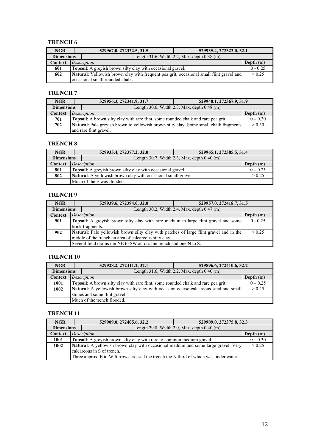| <b>NGR</b>        |                                                                                                          | 529967.0, 272322.5, 31.5                      | 529935.4, 272322.0, 32.1 |  |  |  |  |
|-------------------|----------------------------------------------------------------------------------------------------------|-----------------------------------------------|--------------------------|--|--|--|--|
| <b>Dimensions</b> |                                                                                                          | Length 31.6, Width 2.2, Max. depth $0.38$ (m) |                          |  |  |  |  |
| Context           |                                                                                                          | Depth $(m)$<br>Description                    |                          |  |  |  |  |
| 601               | Topsoil: A greyish brown silty clay with occasional gravel.<br>$0 - 0.25$                                |                                               |                          |  |  |  |  |
| 602               | <b>Natural:</b> Yellowish brown clay with frequent pea grit, occasional small flint gravel and<br>> 0.25 |                                               |                          |  |  |  |  |
|                   |                                                                                                          | occasional small rounded chalk.               |                          |  |  |  |  |

#### **TRENCH 7**

| <b>NGR</b>        |                                                                                                  | 529956.3, 272341.9, 31.7                      | 529940.1, 272367.9, 31.9 |  |  |  |
|-------------------|--------------------------------------------------------------------------------------------------|-----------------------------------------------|--------------------------|--|--|--|
| <b>Dimensions</b> |                                                                                                  | Length 30.6, Width 2.3, Max. depth $0.48$ (m) |                          |  |  |  |
| Context           | $\mathbf{Depth}(\mathbf{m})$<br>Description                                                      |                                               |                          |  |  |  |
| 701               | Topsoil: A brown silty clay with rare flint, some rounded chalk and rare pea grit.<br>$0 - 0.30$ |                                               |                          |  |  |  |
| 702               | <b>Natural:</b> Pale greyish brown to yellowish brown silty clay. Some small chalk fragments     |                                               |                          |  |  |  |
|                   |                                                                                                  | and rare flint gravel.                        |                          |  |  |  |

#### **TRENCH 8**

| <b>NGR</b>        |                                                                                  | 529935.4, 272377.2, 32.0                      | 529965.1, 272385.5, 31.4 |  |  |  |
|-------------------|----------------------------------------------------------------------------------|-----------------------------------------------|--------------------------|--|--|--|
| <b>Dimensions</b> |                                                                                  | Length 30.7, Width 2.3, Max. depth $0.40$ (m) |                          |  |  |  |
| Context           | $\mathbf{Depth}(\mathbf{m})$<br>Description                                      |                                               |                          |  |  |  |
| 801               | $0 - 0.25$<br><b>Topsoil:</b> A greyish brown silty clay with occasional gravel. |                                               |                          |  |  |  |
| 802               | <b>Natural:</b> A yellowish brown clay with occasional small gravel.             |                                               |                          |  |  |  |
|                   | Much of the E was flooded.                                                       |                                               |                          |  |  |  |

#### **TRENCH 9**

| <b>NGR</b>        |                                                                                               | 529939.6, 272394.0, 32.0<br>529957.0, 272418.7, 31.5                |                                               |  |  |  |
|-------------------|-----------------------------------------------------------------------------------------------|---------------------------------------------------------------------|-----------------------------------------------|--|--|--|
| <b>Dimensions</b> |                                                                                               |                                                                     | Length 30.2, Width 2.4, Max. depth $0.47$ (m) |  |  |  |
| Context           | Depth $(m)$<br>Description                                                                    |                                                                     |                                               |  |  |  |
| 901               | <b>Topsoil:</b> A greyish brown silty clay with rare medium to large flint gravel and some    |                                                                     |                                               |  |  |  |
|                   |                                                                                               | brick fragments.                                                    |                                               |  |  |  |
| 902               | <b>Natural:</b> Pale yellowish brown silty clay with patches of large flint gravel and in the |                                                                     |                                               |  |  |  |
|                   | middle of the trench an area of calcareous silty clay.                                        |                                                                     |                                               |  |  |  |
|                   |                                                                                               | Several field drains ran NE to SW across the trench and one N to S. |                                               |  |  |  |

#### **TRENCH 10**

| <b>NGR</b>        | 529928.2, 272411.2, 32.1                                                                    |                             | 529896.6, 272410.6, 32.2                      |             |
|-------------------|---------------------------------------------------------------------------------------------|-----------------------------|-----------------------------------------------|-------------|
| <b>Dimensions</b> |                                                                                             |                             | Length 31.6, Width 2.2, Max. depth $0.40$ (m) |             |
| Context           |                                                                                             | Description                 |                                               | Depth $(m)$ |
| 1001              | <b>Topsoil:</b> A brown silty clay with rare flint, some rounded chalk and rare pea grit.   |                             |                                               | $0 - 0.25$  |
| 1002              | <b>Natural:</b> A yellowish brown silty clay with occasion coarse calcareous sand and small |                             |                                               | > 0.25      |
|                   | stones and some flint gravel.                                                               |                             |                                               |             |
|                   |                                                                                             | Much of the trench flooded. |                                               |             |

| <b>NGR</b>        | 529909.0, 272405.6, 32.2   |                                                                                           | 529909.0, 272375.8, 32.3                      |             |
|-------------------|----------------------------|-------------------------------------------------------------------------------------------|-----------------------------------------------|-------------|
| <b>Dimensions</b> |                            |                                                                                           | Length 29.8, Width 2.0, Max. depth $0.40$ (m) |             |
| Context           |                            | Description                                                                               |                                               | Depth $(m)$ |
| 1001              |                            | <b>Topsoil:</b> A grey ish brown silty clay with rare to common medium gravel.            |                                               |             |
| 1002              |                            | <b>Natural:</b> A yellowish brown clay with occasional medium and some large gravel. Very |                                               | > 0.25      |
|                   | calcareous in S of trench. |                                                                                           |                                               |             |
|                   |                            | Three approx. E to W furrows crossed the trench the N third of which was under water.     |                                               |             |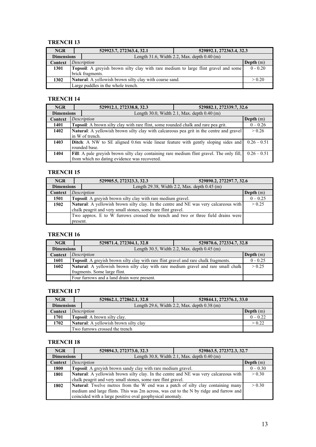| <b>NGR</b> | 529923.7, 272363.4, 32.1                                           |                                                                                            | 529892.1, 272363.4, 32.3 |            |
|------------|--------------------------------------------------------------------|--------------------------------------------------------------------------------------------|--------------------------|------------|
|            | Length 31.6, Width 2.2, Max. depth $0.40$ (m)<br><b>Dimensions</b> |                                                                                            |                          |            |
| Context    | Description                                                        |                                                                                            | Depth $(m)$              |            |
| 1301       |                                                                    | <b>Topsoil:</b> A greyish brown silty clay with rare medium to large flint gravel and some |                          | $0 - 0.20$ |
|            | brick fragments.                                                   |                                                                                            |                          |            |
| 1302       | <b>Natural:</b> A yellowish brown silty clay with coarse sand.     |                                                                                            | > 0.20                   |            |
|            |                                                                    | Large puddles in the whole trench.                                                         |                          |            |

#### **TRENCH 14**

| <b>NGR</b> |                                                                                                              | 529912.1, 272338.8, 32.3                     | 529882.1, 272339.7, 32.6 |             |
|------------|--------------------------------------------------------------------------------------------------------------|----------------------------------------------|--------------------------|-------------|
|            | Length 30.0, Width 2.1, Max. depth 0.40 (m)<br><b>Dimensions</b>                                             |                                              |                          |             |
| Context    | Description                                                                                                  |                                              |                          | Depth $(m)$ |
| 1401       | <b>Topsoil:</b> A brown silty clay with rare flint, some rounded chalk and rare pea grit.                    |                                              |                          | $0 - 0.26$  |
| 1402       | <b>Natural:</b> A yellowish brown silty clay with calcareous pea grit in the centre and gravel               |                                              | > 0.26                   |             |
|            |                                                                                                              | in W of trench.                              |                          |             |
| 1403       | <b>Ditch</b> : A NW to SE aligned 0.6m wide linear feature with gently sloping sides and $\vert$ 0.26 – 0.51 |                                              |                          |             |
|            | rounded base.                                                                                                |                                              |                          |             |
| 1404       | <b>Fill:</b> A pale greyish brown silty clay containing rare medium flint gravel. The only fill,             |                                              | $0.26 - 0.51$            |             |
|            |                                                                                                              | from which no dating evidence was recovered. |                          |             |

#### **TRENCH 15**

| <b>NGR</b>        | 529905.5, 272323.3, 32.3<br>529890.2, 272297.7, 32.6                                        |                                                                     |  |             |
|-------------------|---------------------------------------------------------------------------------------------|---------------------------------------------------------------------|--|-------------|
| <b>Dimensions</b> |                                                                                             | Length 29.38, Width 2.2, Max. depth 0.45 (m)                        |  |             |
| Context           | Description                                                                                 |                                                                     |  | Depth $(m)$ |
| 1501              |                                                                                             | <b>Topsoil:</b> A greyish brown silty clay with rare medium gravel. |  |             |
| 1502              | <b>Natural:</b> A yellowish brown silty clay. In the centre and NE was very calcareous with |                                                                     |  | > 0.25      |
|                   | chalk peagrit and very small stones, some rare flint gravel.                                |                                                                     |  |             |
|                   | Two approx. E to W furrows crossed the trench and two or three field drains were            |                                                                     |  |             |
|                   | present.                                                                                    |                                                                     |  |             |

#### **TRENCH 16**

| <b>NGR</b>        |                                                                                             | 529871.4, 272304.1, 32.8<br>529870.6, 272334.7, 32.8 |  |             |
|-------------------|---------------------------------------------------------------------------------------------|------------------------------------------------------|--|-------------|
| <b>Dimensions</b> | Length 30.5, Width 2.2, Max. depth $0.45$ (m)                                               |                                                      |  |             |
| Context           | Description                                                                                 |                                                      |  | Depth $(m)$ |
| 1601              | <b>Topsoil:</b> A greyish brown silty clay with rare flint gravel and rare chalk fragments. |                                                      |  | $0 - 0.25$  |
| 1602              | Natural: A yellowish brown silty clay with rare medium gravel and rare small chalk          |                                                      |  | > 0.25      |
|                   | fragments. Some large flint.                                                                |                                                      |  |             |
|                   |                                                                                             | Four furrows and a land drain were present.          |  |             |

#### **TRENCH 17**

| <b>NGR</b> |                                                                    | 529862.1, 272862.1, 32.8<br>529844.1, 272376.1, 33.0 |  |            |
|------------|--------------------------------------------------------------------|------------------------------------------------------|--|------------|
|            | Length 29.6, Width 2.2, Max. depth $0.38$ (m)<br><b>Dimensions</b> |                                                      |  |            |
| Context    |                                                                    | Depth $(m)$<br>Description                           |  |            |
| 1701       | Topsoil: A brown silty clay.                                       |                                                      |  | $0 - 0.22$ |
| 1702       | <b>Natural:</b> A yellowish brown silty clay                       |                                                      |  | > 0.22     |
|            |                                                                    | Two furrows crossed the trench                       |  |            |

| <b>NGR</b> |                                                                                        | 529894.3, 272373.0, 32.3                                                             | 529863.5, 272372.3, 32.7 |             |
|------------|----------------------------------------------------------------------------------------|--------------------------------------------------------------------------------------|--------------------------|-------------|
|            | Length 30.8, Width 2.1, Max. depth 0.40 (m)<br><b>Dimensions</b>                       |                                                                                      |                          |             |
| Context    |                                                                                        | Description                                                                          |                          | Depth $(m)$ |
| 1800       | <b>Topsoil:</b> A greyish brown sandy clay with rare medium gravel.                    |                                                                                      | $0 - 0.30$               |             |
| 1801       |                                                                                        | Natural: A yellowish brown silty clay. In the centre and NE was very calcareous with |                          | > 0.30      |
|            | chalk peagrit and very small stones, some rare flint gravel.                           |                                                                                      |                          |             |
| 1802       | <b>Natural:</b> Twelve metres from the W end was a patch of silty clay containing many |                                                                                      | > 0.30                   |             |
|            | medium and large flints. This was 2m across, was cut to the N by ridge and furrow and  |                                                                                      |                          |             |
|            |                                                                                        | coincided with a large positive oval geophysical anomaly.                            |                          |             |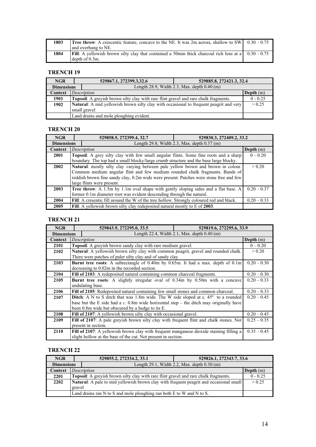| 1803 | <b>Tree throw</b> : A crescentic feature, concave to the NE. It was 2m across, shallow to SW $\vert$ 0.30 – 0.75        |  |
|------|-------------------------------------------------------------------------------------------------------------------------|--|
|      | and overhung to NE.                                                                                                     |  |
| 1804 | <b>Fill:</b> A yellowish brown silty clay that contained a 50mm thick charcoal rich lens at a $\vert 0.30 - 0.75 \vert$ |  |
|      | depth of 0.3m.                                                                                                          |  |

| <b>NGR</b>        | 529867.1, 272399.3,32.6                                                                                |                                                     | 529885.8, 272421.3, 32.4 |            |  |
|-------------------|--------------------------------------------------------------------------------------------------------|-----------------------------------------------------|--------------------------|------------|--|
| <b>Dimensions</b> |                                                                                                        | Length $28.9$ , Width $2.3$ , Max. depth $0.40$ (m) |                          |            |  |
| Context           | Description                                                                                            |                                                     | Depth $(m)$              |            |  |
| 1901              | <b>Topsoil:</b> A greyish brown silty clay with rare flint gravel and rare chalk fragments.            |                                                     |                          | $0 - 0.25$ |  |
| 1902              | Natural: A mid yellowish brown silty clay with occasional to frequent peagrit and very<br>small gravel |                                                     |                          | > 0.25     |  |
|                   |                                                                                                        | Land drains and mole ploughing evident.             |                          |            |  |

#### **TRENCH 20**

| <b>NGR</b>        |                                                                                            | 529858.5, 272399.4, 32.7                                                                     | 529830.3, 272409.2, 33.2                      |               |
|-------------------|--------------------------------------------------------------------------------------------|----------------------------------------------------------------------------------------------|-----------------------------------------------|---------------|
| <b>Dimensions</b> |                                                                                            |                                                                                              | Length 29.8, Width 2.3, Max. depth $0.37$ (m) |               |
| Context           |                                                                                            | Description                                                                                  |                                               | Depth $(m)$   |
| 2001              |                                                                                            | <b>Topsoil:</b> A grey silty clay with few small angular flints. Some fine roots and a sharp |                                               | $0 - 0.20$    |
|                   |                                                                                            | boundary. The top had a small blocky/large crumb structure and the base large blocky.        |                                               |               |
| 2002              |                                                                                            | <b>Natural:</b> mostly silty clay varying between pale yellow brown and brown in colour.     |                                               | > 0.20        |
|                   |                                                                                            | Common medium angular flint and few medium rounded chalk fragments. Bands of                 |                                               |               |
|                   |                                                                                            | reddish brown fine sandy clay, 0.2m wide were present. Patches were stone free and few       |                                               |               |
|                   |                                                                                            | large flints were present.                                                                   |                                               |               |
| 2003              | <b>Tree throw</b> : A 1.5m by 1.1m oval shape with gently sloping sides and a flat base. A |                                                                                              |                                               | $0.20 - 0.37$ |
|                   | former 0.1m diameter root was evident descending through the natural.                      |                                                                                              |                                               |               |
| 2004              |                                                                                            | Fill: A cresentic fill around the W of the tree hollow. Strongly coloured red and black.     |                                               |               |
| 2005              |                                                                                            | Fill: A yellowish brown silty clay redeposited natural mostly to E of 2003.                  |                                               |               |

#### **TRENCH 21**

| <b>NGR</b>        |                                                                                         | 529843.9, 272295.0, 33.5                                                                            | 529819.6, 272295.6, 33.9 |               |
|-------------------|-----------------------------------------------------------------------------------------|-----------------------------------------------------------------------------------------------------|--------------------------|---------------|
| <b>Dimensions</b> |                                                                                         | Length 22.4, Width 2.1, Max. depth $0.40$ (m)                                                       |                          |               |
| Context           |                                                                                         | Description                                                                                         |                          |               |
| 2101              |                                                                                         | <b>Topsoil:</b> A greyish brown sandy clay with rare medium gravel.                                 |                          | $0 - 0.20$    |
| 2102              |                                                                                         | Natural: A yellowish brown silty clay with common peagrit, gravel and rounded chalk.                |                          | > 0.20        |
|                   |                                                                                         | There were patches of paler silty clay and of sandy clay.                                           |                          |               |
| 2103              |                                                                                         | <b>Burnt tree roots:</b> A subrectangle of 0.40m by 0.65m. It had a max. depth of $0.1m$            |                          | $0.20 - 0.30$ |
|                   |                                                                                         | decreasing to 0.02m in the recorded section.                                                        |                          |               |
| 2104              |                                                                                         | Fill of 2103: A redeposited natural containing common charcoal fragments.                           |                          | $0.20 - 0.30$ |
| 2105              | <b>Burnt tree roots:</b> A slightly irregular oval of 0.34m by 0.50m with a concave     |                                                                                                     |                          | $0.20 - 0.33$ |
|                   |                                                                                         | undulating base.                                                                                    |                          |               |
| 2106              |                                                                                         | Fill of 2105: Redeposited natural containing few small stones and common charcoal.                  |                          | $0.20 - 0.33$ |
| 2107              |                                                                                         | <b>Ditch</b> : A N to S ditch that was 1.8m wide. The W side sloped at c. $45^{\circ}$ to a rounded |                          | $0.20 - 0.45$ |
|                   |                                                                                         | base but the E side had a c. 0.8m wide horizontal step – the ditch may originally have              |                          |               |
|                   |                                                                                         | been 0.8m wide but obscured by a hedge to its E.                                                    |                          |               |
| 2108              |                                                                                         | <b>Fill of 2107:</b> A yellowish brown silty clay with occasional gravel.                           |                          | $0.20 - 0.45$ |
| 2109              | Fill of 2107: A pale greyish brown silty clay with frequent flint and chalk stones. Not |                                                                                                     |                          | $0.25 - 0.35$ |
|                   | present in section.                                                                     |                                                                                                     |                          |               |
| 2110              |                                                                                         | Fill of 2107: A yellowish brown clay with frequent manganese dioxide staining filling a             |                          | $0.35 - 0.45$ |
|                   |                                                                                         | slight hollow at the base of the cut. Not present in section.                                       |                          |               |

| <b>NGR</b> |                                                                  | 529855.2, 272334.2, 33.1                                                                                | 529826.1, 272343.7, 33.6 |  |  |
|------------|------------------------------------------------------------------|---------------------------------------------------------------------------------------------------------|--------------------------|--|--|
|            | Length 29.1, Width 2.2, Max. depth 0.30 (m)<br><b>Dimensions</b> |                                                                                                         |                          |  |  |
| Context    |                                                                  | Description                                                                                             |                          |  |  |
| 2201       |                                                                  | <b>Topsoil:</b> A greyish brown silty clay with rare flint gravel and rare chalk fragments.             |                          |  |  |
| 2202       |                                                                  | > 0.25<br><b>Natural:</b> A pale to mid yellowish brown clay with frequent peagrit and occasional small |                          |  |  |
|            | gravel                                                           |                                                                                                         |                          |  |  |
|            |                                                                  | Land drains ran N to S and mole ploughing ran both E to W and N to S.                                   |                          |  |  |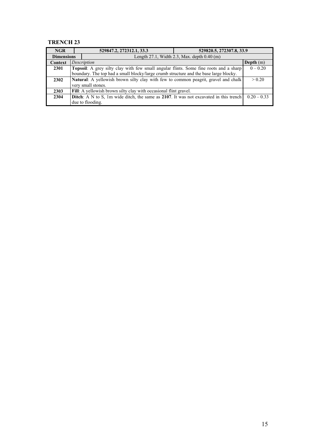| <b>NGR</b> |                                                                                              | 529847.2, 272312.1, 33.3                                                                      | 529820.5, 272307.8, 33.9 |               |
|------------|----------------------------------------------------------------------------------------------|-----------------------------------------------------------------------------------------------|--------------------------|---------------|
|            | Length $27.1$ , Width $2.3$ , Max. depth $0.40$ (m)<br><b>Dimensions</b>                     |                                                                                               |                          |               |
| Context    |                                                                                              | Description                                                                                   |                          | Depth $(m)$   |
| 2301       | <b>Topsoil:</b> A grey silty clay with few small angular flints. Some fine roots and a sharp |                                                                                               |                          | $0 - 0.20$    |
|            | boundary. The top had a small blocky/large crumb structure and the base large blocky.        |                                                                                               |                          |               |
| 2302       |                                                                                              | <b>Natural:</b> A yellowish brown silty clay with few to common peagrit, gravel and chalk     |                          | > 0.20        |
|            |                                                                                              | very small stones.                                                                            |                          |               |
| 2303       |                                                                                              | Fill: A yellowish brown silty clay with occasional flint gravel.                              |                          |               |
| 2304       |                                                                                              | <b>Ditch</b> : A N to S, 1m wide ditch, the same as 2107. It was not excavated in this trench |                          | $0.20 - 0.33$ |
|            |                                                                                              | due to flooding.                                                                              |                          |               |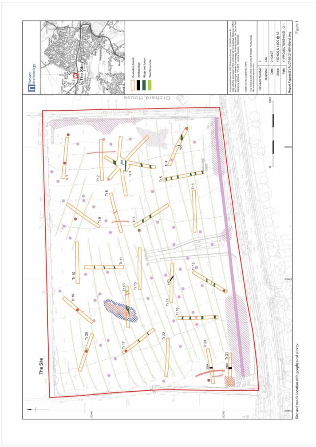

Site and trench location with geophysical survey

Figure 1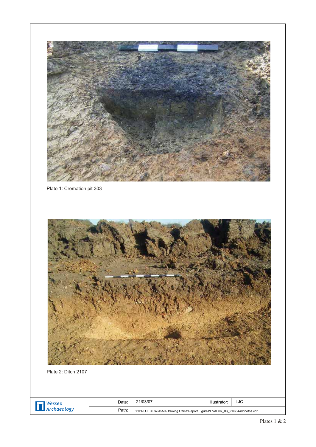

Plate 1: Cremation pit 303



| Wessex      | Date: | 21/03/07                                                                      | Illustrator: | ∟J∪ |
|-------------|-------|-------------------------------------------------------------------------------|--------------|-----|
| `rchaeologv | Path: | Y:\PROJECTS\64550\Drawing Office\Report Figures\EVAL\07 03 21\65440photos.cdr |              |     |